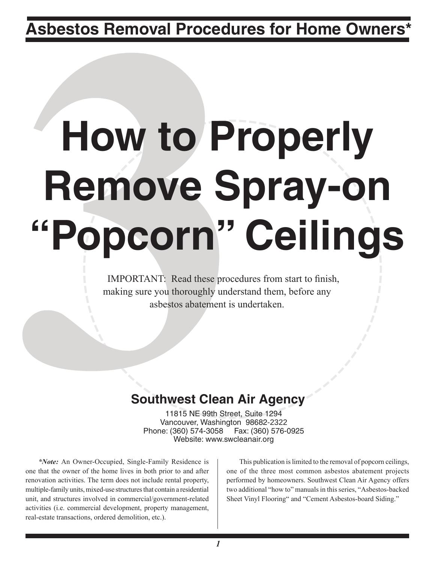**Asbestos Removal Procedures for Home Owners\***

# **How to Properly Remove Spray-on "Popcorn" Ceilings**

IMPORTANT: Read these procedures from start to finish, making sure you thoroughly understand them, before any asbestos abatement is undertaken.

## **Southwest Clean Air Agency**

11815 NE 99th Street, Suite 1294 Vancouver, Washington 98682-2322 Phone: (360) 574-3058 Website: www.swcleanair.org

*\*Note:* An Owner-Occupied, Single-Family Residence is one that the owner of the home lives in both prior to and after renovation activities. The term does not include rental property, multiple-family units, mixed-use structures that contain a residential unit, and structures involved in commercial/government-related activities (i.e. commercial development, property management, real-estate transactions, ordered demolition, etc.).

This publication is limited to the removal of popcorn ceilings, one of the three most common asbestos abatement projects performed by homeowners. Southwest Clean Air Agency offers two additional "how to" manuals in this series, "Asbestos-backed Sheet Vinyl Flooring" and "Cement Asbestos-board Siding."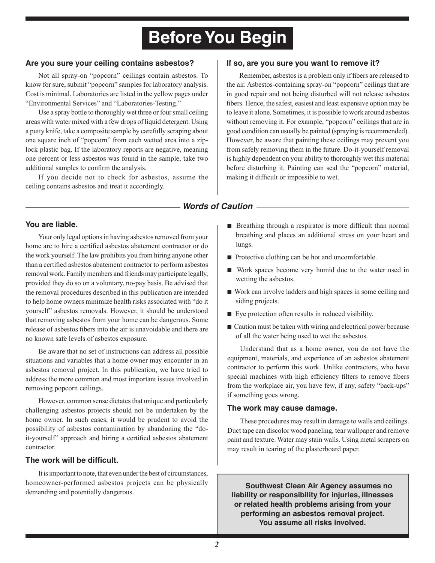## **Before You Begin**

#### **Are you sure your ceiling contains asbestos?**

Not all spray-on "popcorn" ceilings contain asbestos. To know for sure, submit "popcorn" samples for laboratory analysis. Cost is minimal. Laboratories are listed in the yellow pages under "Environmental Services" and "Laboratories-Testing."

Use a spray bottle to thoroughly wet three or four small ceiling areas with water mixed with a few drops of liquid detergent. Using a putty knife, take a composite sample by carefully scraping about one square inch of "popcorn" from each wetted area into a ziplock plastic bag. If the laboratory reports are negative, meaning one percent or less asbestos was found in the sample, take two additional samples to confirm the analysis.

If you decide not to check for asbestos, assume the ceiling contains asbestos and treat it accordingly.

#### **If so, are you sure you want to remove it?**

Remember, asbestos is a problem only if fibers are released to the air. Asbestos-containing spray-on "popcorn" ceilings that are in good repair and not being disturbed will not release asbestos fibers. Hence, the safest, easiest and least expensive option may be to leave it alone. Sometimes, it is possible to work around asbestos without removing it. For example, "popcorn" ceilings that are in good condition can usually be painted (spraying is recommended). However, be aware that painting these ceilings may prevent you from safely removing them in the future. Do-it-yourself removal is highly dependent on your ability to thoroughly wet this material before disturbing it. Painting can seal the "popcorn" material, making it difficult or impossible to wet.

#### *Words of Caution*

#### **You are liable.**

Your only legal options in having asbestos removed from your home are to hire a certified asbestos abatement contractor or do the work yourself. The law prohibits you from hiring anyone other than a certified asbestos abatement contractor to perform asbestos removal work. Family members and friends may participate legally, provided they do so on a voluntary, no-pay basis. Be advised that the removal procedures described in this publication are intended to help home owners minimize health risks associated with "do it yourself" asbestos removals. However, it should be understood that removing asbestos from your home can be dangerous. Some release of asbestos fibers into the air is unavoidable and there are no known safe levels of asbestos exposure.

Be aware that no set of instructions can address all possible situations and variables that a home owner may encounter in an asbestos removal project. In this publication, we have tried to address the more common and most important issues involved in removing popcorn ceilings.

However, common sense dictates that unique and particularly challenging asbestos projects should not be undertaken by the home owner. In such cases, it would be prudent to avoid the possibility of asbestos contamination by abandoning the "doit-yourself" approach and hiring a certified asbestos abatement contractor.

#### **The work will be difficult.**

It is important to note, that even under the best of circumstances, homeowner-performed asbestos projects can be physically demanding and potentially dangerous.

- Breathing through a respirator is more difficult than normal breathing and places an additional stress on your heart and lungs.
- Protective clothing can be hot and uncomfortable.
- Work spaces become very humid due to the water used in wetting the asbestos.
- Work can involve ladders and high spaces in some ceiling and siding projects.
- Eye protection often results in reduced visibility.
- Caution must be taken with wiring and electrical power because of all the water being used to wet the asbestos.

Understand that as a home owner, you do not have the equipment, materials, and experience of an asbestos abatement contractor to perform this work. Unlike contractors, who have special machines with high efficiency filters to remove fibers from the workplace air, you have few, if any, safety "back-ups" if something goes wrong.

#### **The work may cause damage.**

These procedures may result in damage to walls and ceilings. Duct tape can discolor wood paneling, tear wallpaper and remove paint and texture. Water may stain walls. Using metal scrapers on may result in tearing of the plasterboard paper.

**Southwest Clean Air Agency assumes no liability or responsibility for injuries, illnesses or related health problems arising from your performing an asbestos removal project. You assume all risks involved.**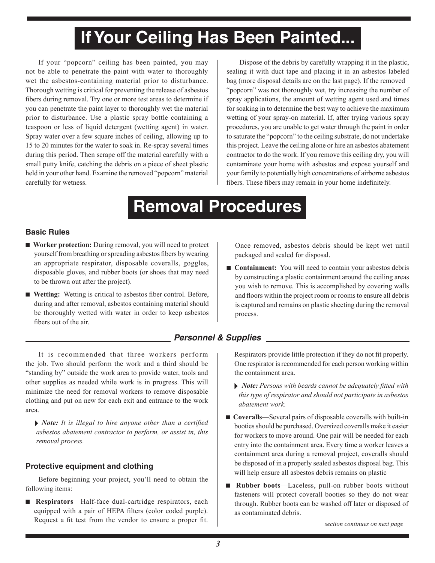# **If Your Ceiling Has Been Painted...**

If your "popcorn" ceiling has been painted, you may not be able to penetrate the paint with water to thoroughly wet the asbestos-containing material prior to disturbance. Thorough wetting is critical for preventing the release of asbestos fibers during removal. Try one or more test areas to determine if you can penetrate the paint layer to thoroughly wet the material prior to disturbance. Use a plastic spray bottle containing a teaspoon or less of liquid detergent (wetting agent) in water. Spray water over a few square inches of ceiling, allowing up to 15 to 20 minutes for the water to soak in. Re-spray several times during this period. Then scrape off the material carefully with a small putty knife, catching the debris on a piece of sheet plastic held in your other hand. Examine the removed "popcorn" material carefully for wetness.

Dispose of the debris by carefully wrapping it in the plastic, sealing it with duct tape and placing it in an asbestos labeled bag (more disposal details are on the last page). If the removed "popcorn" was not thoroughly wet, try increasing the number of spray applications, the amount of wetting agent used and times for soaking in to determine the best way to achieve the maximum wetting of your spray-on material. If, after trying various spray procedures, you are unable to get water through the paint in order to saturate the "popcorn" to the ceiling substrate, do not undertake this project. Leave the ceiling alone or hire an asbestos abatement contractor to do the work. If you remove this ceiling dry, you will contaminate your home with asbestos and expose yourself and your family to potentially high concentrations of airborne asbestos fibers. These fibers may remain in your home indefinitely.

## **Removal Procedures**

#### **Basic Rules**

- **Worker protection:** During removal, you will need to protect yourself from breathing or spreading asbestos fibers by wearing an appropriate respirator, disposable coveralls, goggles, disposable gloves, and rubber boots (or shoes that may need to be thrown out after the project).
- **Wetting:** Wetting is critical to asbestos fiber control. Before, during and after removal, asbestos containing material should be thoroughly wetted with water in order to keep asbestos fibers out of the air.

packaged and sealed for disposal. ■ **Containment:** You will need to contain your asbestos debris

by constructing a plastic containment around the ceiling areas you wish to remove. This is accomplished by covering walls and floors within the project room or rooms to ensure all debris is captured and remains on plastic sheeting during the removal process.

Once removed, asbestos debris should be kept wet until

#### *Personnel & Supplies*

It is recommended that three workers perform the job. Two should perform the work and a third should be "standing by" outside the work area to provide water, tools and other supplies as needed while work is in progress. This will minimize the need for removal workers to remove disposable clothing and put on new for each exit and entrance to the work area.

 *Note: It is illegal to hire anyone other than a certified asbestos abatement contractor to perform, or assist in, this removal process.*

#### **Protective equipment and clothing**

Before beginning your project, you'll need to obtain the following items:

■ **Respirators**—Half-face dual-cartridge respirators, each equipped with a pair of HEPA filters (color coded purple). Request a fit test from the vendor to ensure a proper fit.

Respirators provide little protection if they do not fit properly. One respirator is recommended for each person working within the containment area.

- *Note: Persons with beards cannot be adequately fitted with this type of respirator and should not participate in asbestos abatement work.*
- **Coveralls**—Several pairs of disposable coveralls with built-in booties should be purchased. Oversized coveralls make it easier for workers to move around. One pair will be needed for each entry into the containment area. Every time a worker leaves a containment area during a removal project, coveralls should be disposed of in a properly sealed asbestos disposal bag. This will help ensure all asbestos debris remains on plastic
- **Rubber boots—Laceless**, pull-on rubber boots without fasteners will protect coverall booties so they do not wear through. Rubber boots can be washed off later or disposed of as contaminated debris.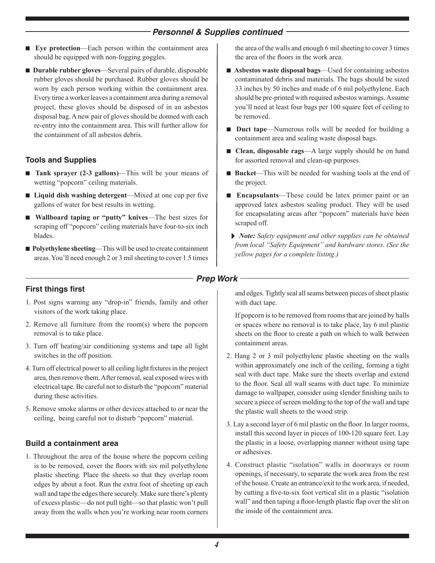#### *Personnel & Supplies continued*

- **Eye protection—Each person within the containment area** should be equipped with non-fogging goggles.
- **Durable rubber gloves**—Several pairs of durable, disposable rubber gloves should be purchased. Rubber gloves should be worn by each person working within the containment area. Every time a worker leaves a containment area during a removal project, these gloves should be disposed of in an asbestos disposal bag. A new pair of gloves should be donned with each re-entry into the containment area. This will further allow for the containment of all asbestos debris.

#### **Tools and Supplies**

- **Tank sprayer (2-3 gallons)**—This will be your means of wetting "popcorn" ceiling materials.
- **Liquid dish washing detergent**—Mixed at one cup per five gallons of water for best results in wetting.
- **Wallboard taping or "putty" knives**—The best sizes for scraping off "popcorn" ceiling materials have four-to-six inch blades.
- **Polyethylene sheeting—This will be used to create containment** areas. You'll need enough 2 or 3 mil sheeting to cover 1.5 times

#### **First things first**

- 1. Post signs warning any "drop-in" friends, family and other visitors of the work taking place.
- 2. Remove all furniture from the room(s) where the popcorn removal is to take place.
- 3. Turn off heating/air conditioning systems and tape all light switches in the off position.
- 4. Turn off electrical power to all ceiling light fixtures in the project area, then remove them. After removal, seal exposed wires with electrical tape. Be careful not to disturb the "popcorn" material during these activities.
- 5. Remove smoke alarms or other devices attached to or near the ceiling, being careful not to disturb "popcorn" material.

#### **Build a containment area**

1. Throughout the area of the house where the popcorn ceiling is to be removed, cover the floors with six mil polyethylene plastic sheeting. Place the sheets so that they overlap room edges by about a foot. Run the extra foot of sheeting up each wall and tape the edges there securely. Make sure there's plenty of excess plastic—do not pull tight—so that plastic won't pull away from the walls when you're working near room corners the area of the walls and enough 6 mil sheeting to cover 3 times the area of the floors in the work area.

- **Asbestos waste disposal bags**—Used for containing asbestos contaminated debris and materials. The bags should be sized 33 inches by 50 inches and made of 6 mil polyethylene. Each should be pre-printed with required asbestos warnings. Assume you'll need at least four bags per 100 square feet of ceiling to be removed.
- **Duct tape—Numerous rolls will be needed for building a** containment area and sealing waste disposal bags.
- **Clean, disposable rags**—A large supply should be on hand for assorted removal and clean-up purposes.
- **Bucket**—This will be needed for washing tools at the end of the project.
- **Encapsulants**—These could be latex primer paint or an approved latex asbestos sealing product. They will be used for encapsulating areas after "popcorn" materials have been scraped off.
- *Note: Safety equipment and other supplies can be obtained from local "Safety Equipment" and hardware stores. (See the yellow pages for a complete listing.)*

#### *Prep Work*

and edges. Tightly seal all seams between pieces of sheet plastic with duct tape.

If popcorn is to be removed from rooms that are joined by halls or spaces where no removal is to take place, lay 6 mil plastic sheets on the floor to create a path on which to walk between containment areas.

- 2. Hang 2 or 3 mil polyethylene plastic sheeting on the walls within approximately one inch of the ceiling, forming a tight seal with duct tape. Make sure the sheets overlap and extend to the floor. Seal all wall seams with duct tape. To minimize damage to wallpaper, consider using slender finishing nails to secure a piece of screen molding to the top of the wall and tape the plastic wall sheets to the wood strip.
- 3. Lay a second layer of 6 mil plastic on the floor. In larger rooms, install this second layer in pieces of 100-120 square feet. Lay the plastic in a loose, overlapping manner without using tape or adhesives.
- 4. Construct plastic "isolation" walls in doorways or room openings, if necessary, to separate the work area from the rest of the house. Create an entrance/exit to the work area, if needed, by cutting a five-to-six foot vertical slit in a plastic "isolation wall" and then taping a floor-length plastic flap over the slit on the inside of the containment area.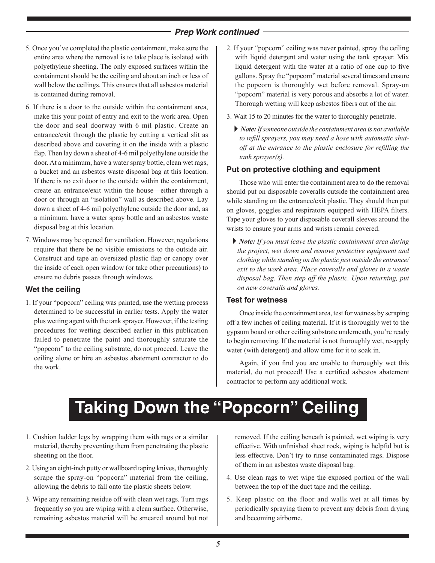#### *Prep Work continued*

- 5. Once you've completed the plastic containment, make sure the entire area where the removal is to take place is isolated with polyethylene sheeting. The only exposed surfaces within the containment should be the ceiling and about an inch or less of wall below the ceilings. This ensures that all asbestos material is contained during removal.
- 6. If there is a door to the outside within the containment area, make this your point of entry and exit to the work area. Open the door and seal doorway with 6 mil plastic. Create an entrance/exit through the plastic by cutting a vertical slit as described above and covering it on the inside with a plastic flap. Then lay down a sheet of 4-6 mil polyethylene outside the door. At a minimum, have a water spray bottle, clean wet rags, a bucket and an asbestos waste disposal bag at this location. If there is no exit door to the outside within the containment, create an entrance/exit within the house—either through a door or through an "isolation" wall as described above. Lay down a sheet of 4-6 mil polyethylene outside the door and, as a minimum, have a water spray bottle and an asbestos waste disposal bag at this location.
- 7. Windows may be opened for ventilation. However, regulations require that there be no visible emissions to the outside air. Construct and tape an oversized plastic flap or canopy over the inside of each open window (or take other precautions) to ensure no debris passes through windows.

#### **Wet the ceiling**

1. If your "popcorn" ceiling was painted, use the wetting process determined to be successful in earlier tests. Apply the water plus wetting agent with the tank sprayer. However, if the testing procedures for wetting described earlier in this publication failed to penetrate the paint and thoroughly saturate the "popcorn" to the ceiling substrate, do not proceed. Leave the ceiling alone or hire an asbestos abatement contractor to do the work.

- 2. If your "popcorn" ceiling was never painted, spray the ceiling with liquid detergent and water using the tank sprayer. Mix liquid detergent with the water at a ratio of one cup to five gallons. Spray the "popcorn" material several times and ensure the popcorn is thoroughly wet before removal. Spray-on "popcorn" material is very porous and absorbs a lot of water. Thorough wetting will keep asbestos fibers out of the air.
- 3. Wait 15 to 20 minutes for the water to thoroughly penetrate.
	- *Note: If someone outside the containment area is not available to refill sprayers, you may need a hose with automatic shutoff at the entrance to the plastic enclosure for refilling the tank sprayer(s).*

#### **Put on protective clothing and equipment**

Those who will enter the containment area to do the removal should put on disposable coveralls outside the containment area while standing on the entrance/exit plastic. They should then put on gloves, goggles and respirators equipped with HEPA filters. Tape your gloves to your disposable coverall sleeves around the wrists to ensure your arms and wrists remain covered.

 *Note: If you must leave the plastic containment area during the project, wet down and remove protective equipment and clothing while standing on the plastic just outside the entrance/ exit to the work area. Place coveralls and gloves in a waste disposal bag. Then step off the plastic. Upon returning, put on new coveralls and gloves.*

#### **Test for wetness**

Once inside the containment area, test for wetness by scraping off a few inches of ceiling material. If it is thoroughly wet to the gypsum board or other ceiling substrate underneath, you're ready to begin removing. If the material is not thoroughly wet, re-apply water (with detergent) and allow time for it to soak in.

Again, if you find you are unable to thoroughly wet this material, do not proceed! Use a certified asbestos abatement contractor to perform any additional work.

## **Taking Down the "Popcorn" Ceiling**

- 1. Cushion ladder legs by wrapping them with rags or a similar material, thereby preventing them from penetrating the plastic sheeting on the floor.
- 2. Using an eight-inch putty or wallboard taping knives, thoroughly scrape the spray-on "popcorn" material from the ceiling, allowing the debris to fall onto the plastic sheets below.
- 3. Wipe any remaining residue off with clean wet rags. Turn rags frequently so you are wiping with a clean surface. Otherwise, remaining asbestos material will be smeared around but not

removed. If the ceiling beneath is painted, wet wiping is very effective. With unfinished sheet rock, wiping is helpful but is less effective. Don't try to rinse contaminated rags. Dispose of them in an asbestos waste disposal bag.

- 4. Use clean rags to wet wipe the exposed portion of the wall between the top of the duct tape and the ceiling.
- 5. Keep plastic on the floor and walls wet at all times by periodically spraying them to prevent any debris from drying and becoming airborne.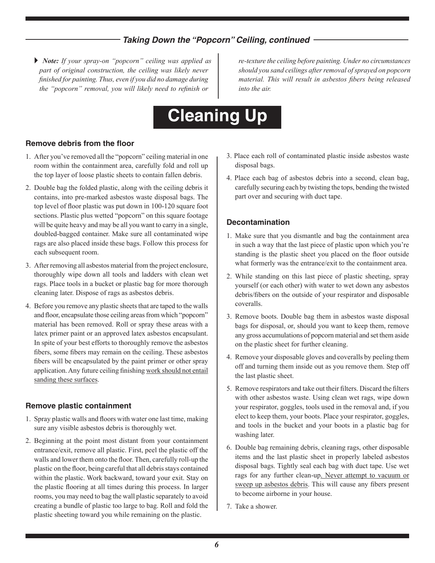#### *Taking Down the "Popcorn" Ceiling, continued*

 *Note: If your spray-on "popcorn" ceiling was applied as part of original construction, the ceiling was likely never finished for painting. Thus, even if you did no damage during the "popcorn" removal, you will likely need to refinish or* 

*re-texture the ceiling before painting. Under no circumstances should you sand ceilings after removal of sprayed on popcorn material. This will result in asbestos fibers being released into the air.*

## **Cleaning Up**

#### **Remove debris from the floor**

- 1. After you've removed all the "popcorn" ceiling material in one room within the containment area, carefully fold and roll up the top layer of loose plastic sheets to contain fallen debris.
- 2. Double bag the folded plastic, along with the ceiling debris it contains, into pre-marked asbestos waste disposal bags. The top level of floor plastic was put down in 100-120 square foot sections. Plastic plus wetted "popcorn" on this square footage will be quite heavy and may be all you want to carry in a single, doubled-bagged container. Make sure all contaminated wipe rags are also placed inside these bags. Follow this process for each subsequent room.
- 3. After removing all asbestos material from the project enclosure, thoroughly wipe down all tools and ladders with clean wet rags. Place tools in a bucket or plastic bag for more thorough cleaning later. Dispose of rags as asbestos debris.
- 4. Before you remove any plastic sheets that are taped to the walls and floor, encapsulate those ceiling areas from which "popcorn" material has been removed. Roll or spray these areas with a latex primer paint or an approved latex asbestos encapsulant. In spite of your best efforts to thoroughly remove the asbestos fibers, some fibers may remain on the ceiling. These asbestos fibers will be encapsulated by the paint primer or other spray application. Any future ceiling finishing work should not entail sanding these surfaces.

#### **Remove plastic containment**

- 1. Spray plastic walls and floors with water one last time, making sure any visible asbestos debris is thoroughly wet.
- 2. Beginning at the point most distant from your containment entrance/exit, remove all plastic. First, peel the plastic off the walls and lower them onto the floor. Then, carefully roll-up the plastic on the floor, being careful that all debris stays contained within the plastic. Work backward, toward your exit. Stay on the plastic flooring at all times during this process. In larger rooms, you may need to bag the wall plastic separately to avoid creating a bundle of plastic too large to bag. Roll and fold the plastic sheeting toward you while remaining on the plastic.
- 3. Place each roll of contaminated plastic inside asbestos waste disposal bags.
- 4. Place each bag of asbestos debris into a second, clean bag, carefully securing each by twisting the tops, bending the twisted part over and securing with duct tape.

#### **Decontamination**

- 1. Make sure that you dismantle and bag the containment area in such a way that the last piece of plastic upon which you're standing is the plastic sheet you placed on the floor outside what formerly was the entrance/exit to the containment area.
- 2. While standing on this last piece of plastic sheeting, spray yourself (or each other) with water to wet down any asbestos debris/fibers on the outside of your respirator and disposable coveralls.
- 3. Remove boots. Double bag them in asbestos waste disposal bags for disposal, or, should you want to keep them, remove any gross accumulations of popcorn material and set them aside on the plastic sheet for further cleaning.
- 4. Remove your disposable gloves and coveralls by peeling them off and turning them inside out as you remove them. Step off the last plastic sheet.
- 5. Remove respirators and take out their filters. Discard the filters with other asbestos waste. Using clean wet rags, wipe down your respirator, goggles, tools used in the removal and, if you elect to keep them, your boots. Place your respirator, goggles, and tools in the bucket and your boots in a plastic bag for washing later.
- 6. Double bag remaining debris, cleaning rags, other disposable items and the last plastic sheet in properly labeled asbestos disposal bags. Tightly seal each bag with duct tape. Use wet rags for any further clean-up. Never attempt to vacuum or sweep up asbestos debris. This will cause any fibers present to become airborne in your house.
- 7. Take a shower.